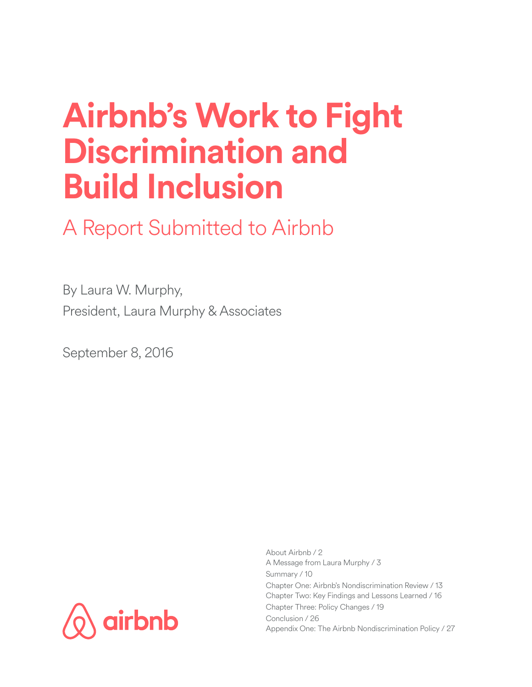# **Airbnb's Work to Fight Discrimination and Build Inclusion**

A Report Submitted to Airbnb

By Laura W. Murphy, President, Laura Murphy & Associates

September 8, 2016



About Airbnb / 2 A Message from Laura Murphy / 3 Summary / 10 Chapter One: Airbnb's Nondiscrimination Review / 13 Chapter Two: Key Findings and Lessons Learned / 16 Chapter Three: Policy Changes / 19 Conclusion / 26 Appendix One: The Airbnb Nondiscrimination Policy / 27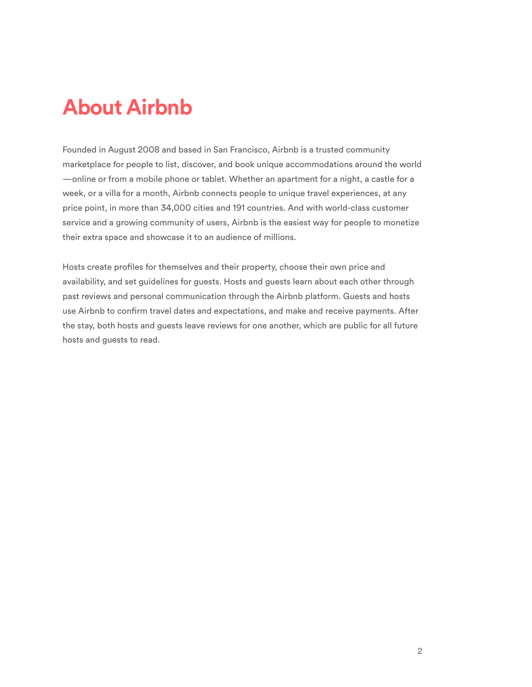## **About Airbnb**

Founded in August 2008 and based in San Francisco, Airbnb is a trusted community marketplace for people to list, discover, and book unique accommodations around the world —online or from a mobile phone or tablet. Whether an apartment for a night, a castle for a week, or a villa for a month, Airbnb connects people to unique travel experiences, at any price point, in more than 34,000 cities and 191 countries. And with world-class customer service and a growing community of users, Airbnb is the easiest way for people to monetize their extra space and showcase it to an audience of millions.

Hosts create profles for themselves and their property, choose their own price and availability, and set guidelines for guests. Hosts and guests learn about each other through past reviews and personal communication through the Airbnb platform. Guests and hosts use Airbnb to confrm travel dates and expectations, and make and receive payments. After the stay, both hosts and guests leave reviews for one another, which are public for all future hosts and guests to read.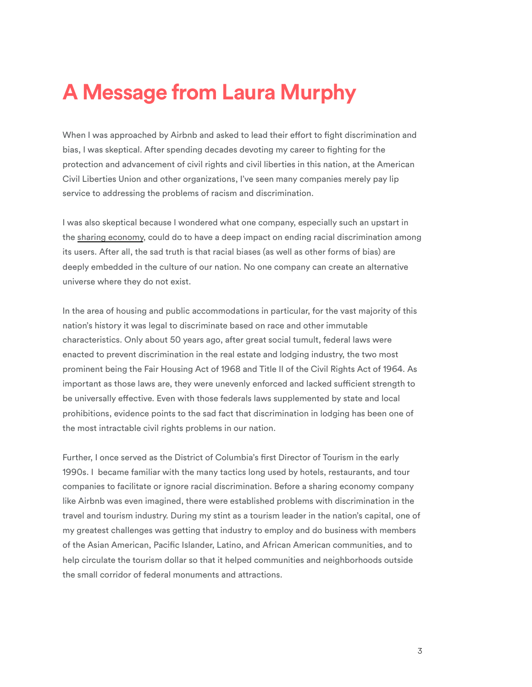### **A Message from Laura Murphy**

When I was approached by Airbnb and asked to lead their effort to fight discrimination and bias, I was skeptical. After spending decades devoting my career to fghting for the protection and advancement of civil rights and civil liberties in this nation, at the American Civil Liberties Union and other organizations, I've seen many companies merely pay lip service to addressing the problems of racism and discrimination.

I was also skeptical because I wondered what one company, especially such an upstart in the [sharing economy,](http://www.economist.com/news/leaders/21573104-internet-everything-hire-rise-sharing-economy) could do to have a deep impact on ending racial discrimination among its users. After all, the sad truth is that racial biases (as well as other forms of bias) are deeply embedded in the culture of our nation. No one company can create an alternative universe where they do not exist.

In the area of housing and public accommodations in particular, for the vast majority of this nation's history it was legal to discriminate based on race and other immutable characteristics. Only about 50 years ago, after great social tumult, federal laws were enacted to prevent discrimination in the real estate and lodging industry, the two most prominent being the Fair Housing Act of 1968 and Title II of the Civil Rights Act of 1964. As important as those laws are, they were unevenly enforced and lacked sufficient strength to be universally efective. Even with those federals laws supplemented by state and local prohibitions, evidence points to the sad fact that discrimination in lodging has been one of the most intractable civil rights problems in our nation.

Further, I once served as the District of Columbia's frst Director of Tourism in the early 1990s. I became familiar with the many tactics long used by hotels, restaurants, and tour companies to facilitate or ignore racial discrimination. Before a sharing economy company like Airbnb was even imagined, there were established problems with discrimination in the travel and tourism industry. During my stint as a tourism leader in the nation's capital, one of my greatest challenges was getting that industry to employ and do business with members of the Asian American, Pacifc Islander, Latino, and African American communities, and to help circulate the tourism dollar so that it helped communities and neighborhoods outside the small corridor of federal monuments and attractions.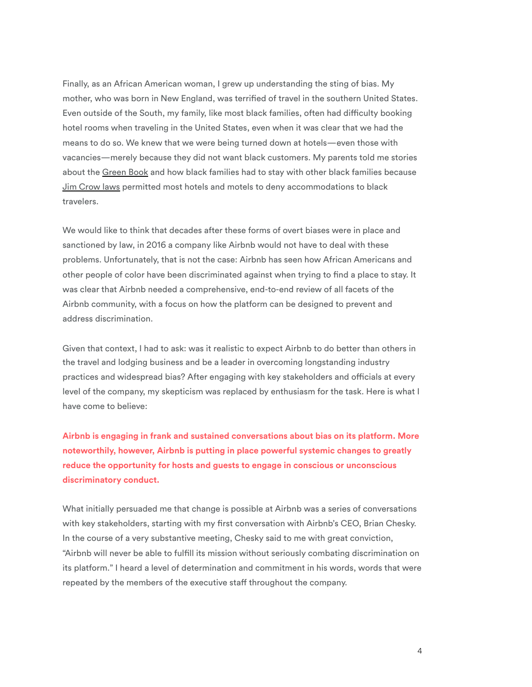Finally, as an African American woman, I grew up understanding the sting of bias. My mother, who was born in New England, was terrifed of travel in the southern United States. Even outside of the South, my family, like most black families, often had difficulty booking hotel rooms when traveling in the United States, even when it was clear that we had the means to do so. We knew that we were being turned down at hotels—even those with vacancies—merely because they did not want black customers. My parents told me stories about the [Green Book](http://www.autolife.umd.umich.edu/Race/R_Casestudy/Negro_motorist_green_bk.htm) and how black families had to stay with other black families because [Jim Crow laws](http://www.pbs.org/wgbh/americanexperience/freedomriders/issues/jim-crow-laws) permitted most hotels and motels to deny accommodations to black travelers.

We would like to think that decades after these forms of overt biases were in place and sanctioned by law, in 2016 a company like Airbnb would not have to deal with these problems. Unfortunately, that is not the case: Airbnb has seen how African Americans and other people of color have been discriminated against when trying to fnd a place to stay. It was clear that Airbnb needed a comprehensive, end-to-end review of all facets of the Airbnb community, with a focus on how the platform can be designed to prevent and address discrimination.

Given that context, I had to ask: was it realistic to expect Airbnb to do better than others in the travel and lodging business and be a leader in overcoming longstanding industry practices and widespread bias? After engaging with key stakeholders and officials at every level of the company, my skepticism was replaced by enthusiasm for the task. Here is what I have come to believe:

**Airbnb is engaging in frank and sustained conversations about bias on its platform. More noteworthily, however, Airbnb is putting in place powerful systemic changes to greatly reduce the opportunity for hosts and guests to engage in conscious or unconscious discriminatory conduct.** 

What initially persuaded me that change is possible at Airbnb was a series of conversations with key stakeholders, starting with my frst conversation with Airbnb's CEO, Brian Chesky. In the course of a very substantive meeting, Chesky said to me with great conviction, "Airbnb will never be able to fulfll its mission without seriously combating discrimination on its platform." I heard a level of determination and commitment in his words, words that were repeated by the members of the executive staff throughout the company.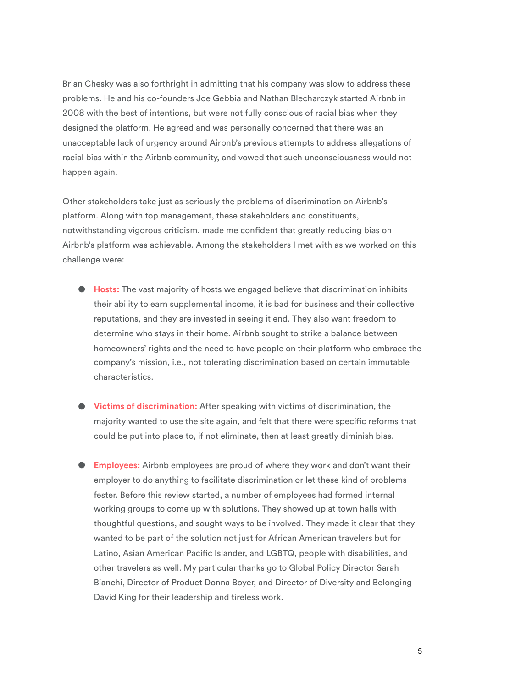Brian Chesky was also forthright in admitting that his company was slow to address these problems. He and his co-founders Joe Gebbia and Nathan Blecharczyk started Airbnb in 2008 with the best of intentions, but were not fully conscious of racial bias when they designed the platform. He agreed and was personally concerned that there was an unacceptable lack of urgency around Airbnb's previous attempts to address allegations of racial bias within the Airbnb community, and vowed that such unconsciousness would not happen again.

Other stakeholders take just as seriously the problems of discrimination on Airbnb's platform. Along with top management, these stakeholders and constituents, notwithstanding vigorous criticism, made me confdent that greatly reducing bias on Airbnb's platform was achievable. Among the stakeholders I met with as we worked on this challenge were:

- **Hosts:** The vast majority of hosts we engaged believe that discrimination inhibits their ability to earn supplemental income, it is bad for business and their collective reputations, and they are invested in seeing it end. They also want freedom to determine who stays in their home. Airbnb sought to strike a balance between homeowners' rights and the need to have people on their platform who embrace the company's mission, i.e., not tolerating discrimination based on certain immutable characteristics.
- **Victims of discrimination:** After speaking with victims of discrimination, the majority wanted to use the site again, and felt that there were specifc reforms that could be put into place to, if not eliminate, then at least greatly diminish bias.
- **Employees:** Airbnb employees are proud of where they work and don't want their employer to do anything to facilitate discrimination or let these kind of problems fester. Before this review started, a number of employees had formed internal working groups to come up with solutions. They showed up at town halls with thoughtful questions, and sought ways to be involved. They made it clear that they wanted to be part of the solution not just for African American travelers but for Latino, Asian American Pacifc Islander, and LGBTQ, people with disabilities, and other travelers as well. My particular thanks go to Global Policy Director Sarah Bianchi, Director of Product Donna Boyer, and Director of Diversity and Belonging David King for their leadership and tireless work.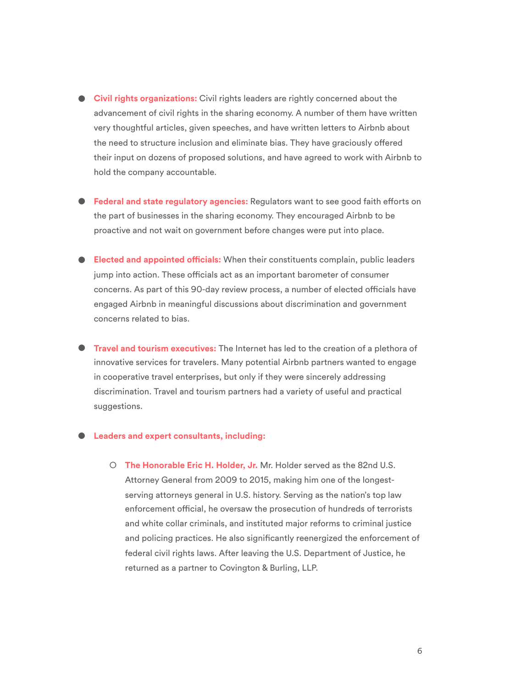- **Civil rights organizations:** Civil rights leaders are rightly concerned about the advancement of civil rights in the sharing economy. A number of them have written very thoughtful articles, given speeches, and have written letters to Airbnb about the need to structure inclusion and eliminate bias. They have graciously offered their input on dozens of proposed solutions, and have agreed to work with Airbnb to hold the company accountable.
- **Federal and state regulatory agencies:** Regulators want to see good faith eforts on the part of businesses in the sharing economy. They encouraged Airbnb to be proactive and not wait on government before changes were put into place.
- **Elected and appointed ofcials:** When their constituents complain, public leaders jump into action. These officials act as an important barometer of consumer concerns. As part of this 90-day review process, a number of elected officials have engaged Airbnb in meaningful discussions about discrimination and government concerns related to bias.
- **Travel and tourism executives:** The Internet has led to the creation of a plethora of innovative services for travelers. Many potential Airbnb partners wanted to engage in cooperative travel enterprises, but only if they were sincerely addressing discrimination. Travel and tourism partners had a variety of useful and practical suggestions.

#### **● Leaders and expert consultants, including:**

○ **The Honorable Eric H. Holder, Jr.** Mr. Holder served as the 82nd U.S. Attorney General from 2009 to 2015, making him one of the longestserving attorneys general in U.S. history. Serving as the nation's top law enforcement official, he oversaw the prosecution of hundreds of terrorists and white collar criminals, and instituted major reforms to criminal justice and policing practices. He also signifcantly reenergized the enforcement of federal civil rights laws. After leaving the U.S. Department of Justice, he returned as a partner to Covington & Burling, LLP.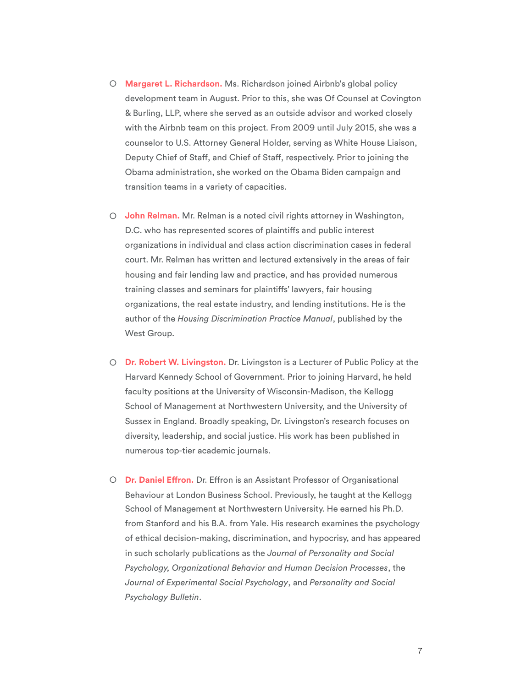- **Margaret L. Richardson.** Ms. Richardson joined Airbnb's global policy development team in August. Prior to this, she was Of Counsel at Covington & Burling, LLP, where she served as an outside advisor and worked closely with the Airbnb team on this project. From 2009 until July 2015, she was a counselor to U.S. Attorney General Holder, serving as White House Liaison, Deputy Chief of Staf, and Chief of Staf, respectively. Prior to joining the Obama administration, she worked on the Obama Biden campaign and transition teams in a variety of capacities.
- **John Relman.** Mr. Relman is a noted civil rights attorney in Washington, D.C. who has represented scores of plaintifs and public interest organizations in individual and class action discrimination cases in federal court. Mr. Relman has written and lectured extensively in the areas of fair housing and fair lending law and practice, and has provided numerous training classes and seminars for plaintifs' lawyers, fair housing organizations, the real estate industry, and lending institutions. He is the author of the *Housing Discrimination Practice Manual*, published by the West Group.
- **Dr. Robert W. Livingston.** Dr. Livingston is a Lecturer of Public Policy at the Harvard Kennedy School of Government. Prior to joining Harvard, he held faculty positions at the University of Wisconsin-Madison, the Kellogg School of Management at Northwestern University, and the University of Sussex in England. Broadly speaking, Dr. Livingston's research focuses on diversity, leadership, and social justice. His work has been published in numerous top-tier academic journals.
- **Dr. Daniel Efron.** Dr. Efron is an Assistant Professor of Organisational Behaviour at London Business School. Previously, he taught at the Kellogg School of Management at Northwestern University. He earned his Ph.D. from Stanford and his B.A. from Yale. His research examines the psychology of ethical decision-making, discrimination, and hypocrisy, and has appeared in such scholarly publications as the *Journal of Personality and Social Psychology, Organizational Behavior and Human Decision Processes*, the *Journal of Experimental Social Psychology*, and *Personality and Social Psychology Bulletin*.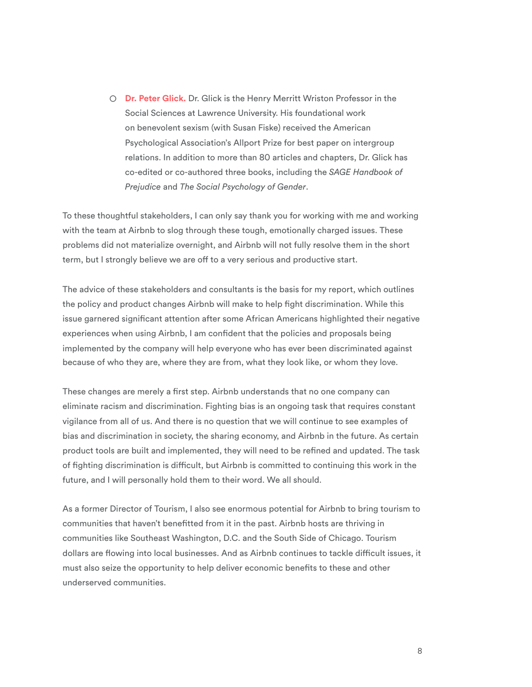○ **Dr. Peter Glick.** Dr. Glick is the Henry Merritt Wriston Professor in the Social Sciences at Lawrence University. His foundational work on benevolent sexism (with Susan Fiske) received the American Psychological Association's Allport Prize for best paper on intergroup relations. In addition to more than 80 articles and chapters, Dr. Glick has co-edited or co-authored three books, including the *SAGE Handbook of Prejudice* and *[The Social Psychology of Gender](http://www.guilford.com/books/The-Social-Psychology-of-Gender/Rudman-Glick/9781606239636)*.

To these thoughtful stakeholders, I can only say thank you for working with me and working with the team at Airbnb to slog through these tough, emotionally charged issues. These problems did not materialize overnight, and Airbnb will not fully resolve them in the short term, but I strongly believe we are off to a very serious and productive start.

The advice of these stakeholders and consultants is the basis for my report, which outlines the policy and product changes Airbnb will make to help fght discrimination. While this issue garnered signifcant attention after some African Americans highlighted their negative experiences when using Airbnb, I am confdent that the policies and proposals being implemented by the company will help everyone who has ever been discriminated against because of who they are, where they are from, what they look like, or whom they love.

These changes are merely a frst step. Airbnb understands that no one company can eliminate racism and discrimination. Fighting bias is an ongoing task that requires constant vigilance from all of us. And there is no question that we will continue to see examples of bias and discrimination in society, the sharing economy, and Airbnb in the future. As certain product tools are built and implemented, they will need to be refned and updated. The task of fghting discrimination is difcult, but Airbnb is committed to continuing this work in the future, and I will personally hold them to their word. We all should.

As a former Director of Tourism, I also see enormous potential for Airbnb to bring tourism to communities that haven't beneftted from it in the past. Airbnb hosts are thriving in communities like Southeast Washington, D.C. and the South Side of Chicago. Tourism dollars are flowing into local businesses. And as Airbnb continues to tackle difficult issues, it must also seize the opportunity to help deliver economic benefts to these and other underserved communities.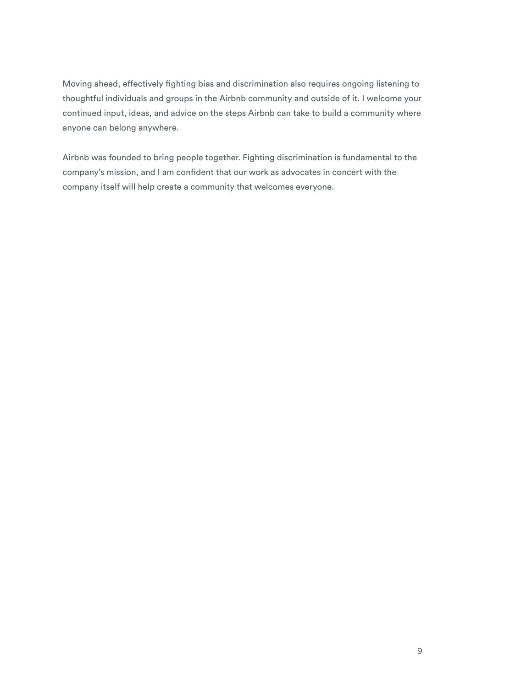Moving ahead, efectively fghting bias and discrimination also requires ongoing listening to thoughtful individuals and groups in the Airbnb community and outside of it. I welcome your continued input, ideas, and advice on the steps Airbnb can take to build a community where anyone can belong anywhere.

Airbnb was founded to bring people together. Fighting discrimination is fundamental to the company's mission, and I am confdent that our work as advocates in concert with the company itself will help create a community that welcomes everyone.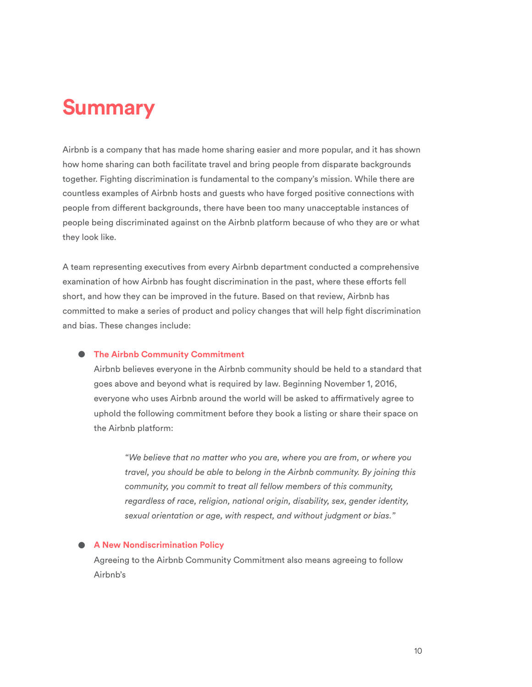### **Summary**

Airbnb is a company that has made home sharing easier and more popular, and it has shown how home sharing can both facilitate travel and bring people from disparate backgrounds together. Fighting discrimination is fundamental to the company's mission. While there are countless examples of Airbnb hosts and guests who have forged positive connections with people from diferent backgrounds, there have been too many unacceptable instances of people being discriminated against on the Airbnb platform because of who they are or what they look like.

A team representing executives from every Airbnb department conducted a comprehensive examination of how Airbnb has fought discrimination in the past, where these eforts fell short, and how they can be improved in the future. Based on that review, Airbnb has committed to make a series of product and policy changes that will help fght discrimination and bias. These changes include:

#### **● The Airbnb Community Commitment**

Airbnb believes everyone in the Airbnb community should be held to a standard that goes above and beyond what is required by law. Beginning November 1, 2016, everyone who uses Airbnb around the world will be asked to afrmatively agree to uphold the following commitment before they book a listing or share their space on the Airbnb platform:

*"We believe that no matter who you are, where you are from, or where you travel, you should be able to belong in the Airbnb community. By joining this community, you commit to treat all fellow members of this community, regardless of race, religion, national origin, disability, sex, gender identity, sexual orientation or age, with respect, and without judgment or bias."*

#### **● A New Nondiscrimination Policy**

Agreeing to the Airbnb Community Commitment also means agreeing to follow Airbnb's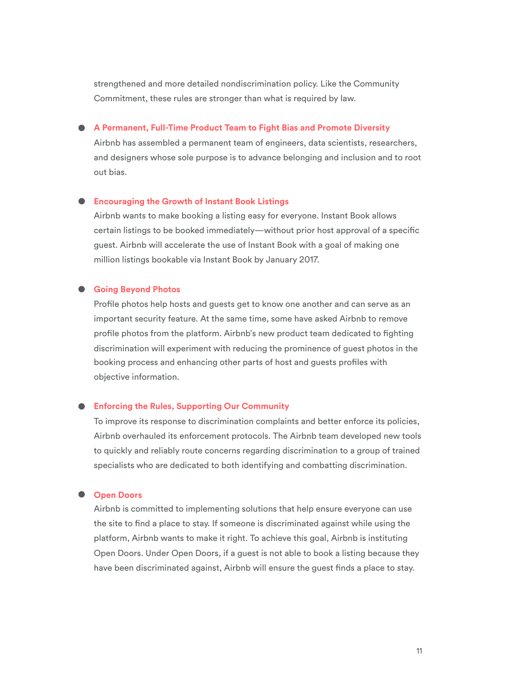strengthened and more detailed nondiscrimination policy. Like the Community Commitment, these rules are stronger than what is required by law.

#### **● A Permanent, Full-Time Product Team to Fight Bias and Promote Diversity**

Airbnb has assembled a permanent team of engineers, data scientists, researchers, and designers whose sole purpose is to advance belonging and inclusion and to root out bias.

#### ● **Encouraging the Growth of Instant Book Listings**

Airbnb wants to make booking a listing easy for everyone. Instant Book allows certain listings to be booked immediately—without prior host approval of a specifc guest. Airbnb will accelerate the use of Instant Book with a goal of making one million listings bookable via Instant Book by January 2017.

#### **● Going Beyond Photos**

Profle photos help hosts and guests get to know one another and can serve as an important security feature. At the same time, some have asked Airbnb to remove profile photos from the platform. Airbnb's new product team dedicated to fighting discrimination will experiment with reducing the prominence of guest photos in the booking process and enhancing other parts of host and guests profles with objective information.

#### **● Enforcing the Rules, Supporting Our Community**

To improve its response to discrimination complaints and better enforce its policies, Airbnb overhauled its enforcement protocols. The Airbnb team developed new tools to quickly and reliably route concerns regarding discrimination to a group of trained specialists who are dedicated to both identifying and combatting discrimination.

#### **● Open Doors**

Airbnb is committed to implementing solutions that help ensure everyone can use the site to fnd a place to stay. If someone is discriminated against while using the platform, Airbnb wants to make it right. To achieve this goal, Airbnb is instituting Open Doors. Under Open Doors, if a guest is not able to book a listing because they have been discriminated against, Airbnb will ensure the guest fnds a place to stay.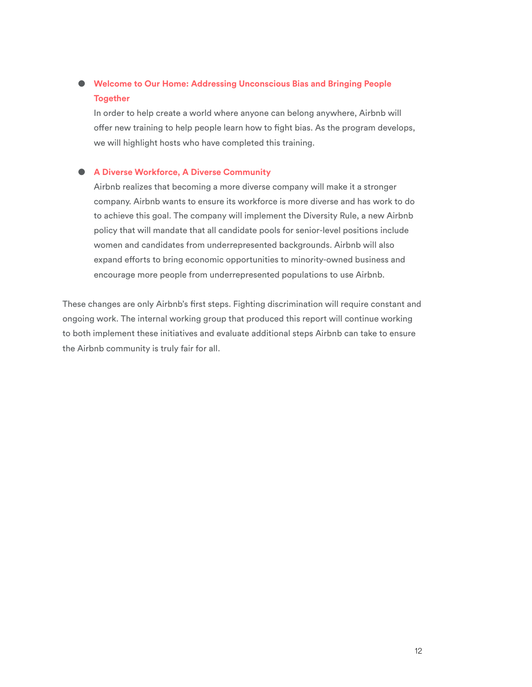### **● Welcome to Our Home: Addressing Unconscious Bias and Bringing People Together**

In order to help create a world where anyone can belong anywhere, Airbnb will offer new training to help people learn how to fight bias. As the program develops, we will highlight hosts who have completed this training.

#### **● A Diverse Workforce, A Diverse Community**

Airbnb realizes that becoming a more diverse company will make it a stronger company. Airbnb wants to ensure its workforce is more diverse and has work to do to achieve this goal. The company will implement the Diversity Rule, a new Airbnb policy that will mandate that all candidate pools for senior-level positions include women and candidates from underrepresented backgrounds. Airbnb will also expand eforts to bring economic opportunities to minority-owned business and encourage more people from underrepresented populations to use Airbnb.

These changes are only Airbnb's frst steps. Fighting discrimination will require constant and ongoing work. The internal working group that produced this report will continue working to both implement these initiatives and evaluate additional steps Airbnb can take to ensure the Airbnb community is truly fair for all.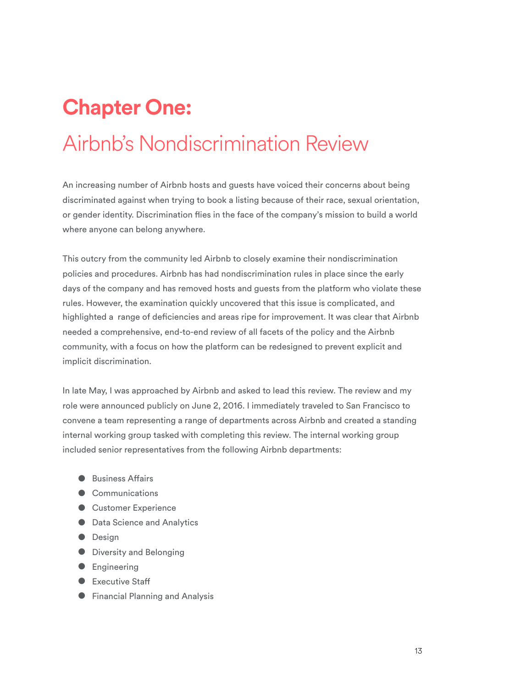# **Chapter One:**  Airbnb's Nondiscrimination Review

An increasing number of Airbnb hosts and guests have voiced their concerns about being discriminated against when trying to book a listing because of their race, sexual orientation, or gender identity. Discrimination fies in the face of the company's mission to build a world where anyone can belong anywhere.

This outcry from the community led Airbnb to closely examine their nondiscrimination policies and procedures. Airbnb has had nondiscrimination rules in place since the early days of the company and has removed hosts and guests from the platform who violate these rules. However, the examination quickly uncovered that this issue is complicated, and highlighted a range of defciencies and areas ripe for improvement. It was clear that Airbnb needed a comprehensive, end-to-end review of all facets of the policy and the Airbnb community, with a focus on how the platform can be redesigned to prevent explicit and implicit discrimination.

In late May, I was approached by Airbnb and asked to lead this review. The review and my role were announced publicly on June 2, 2016. I immediately traveled to San Francisco to convene a team representing a range of departments across Airbnb and created a standing internal working group tasked with completing this review. The internal working group included senior representatives from the following Airbnb departments:

- Business Affairs
- Communications
- Customer Experience
- Data Science and Analytics
- Design
- Diversity and Belonging
- Engineering
- Executive Staff
- Financial Planning and Analysis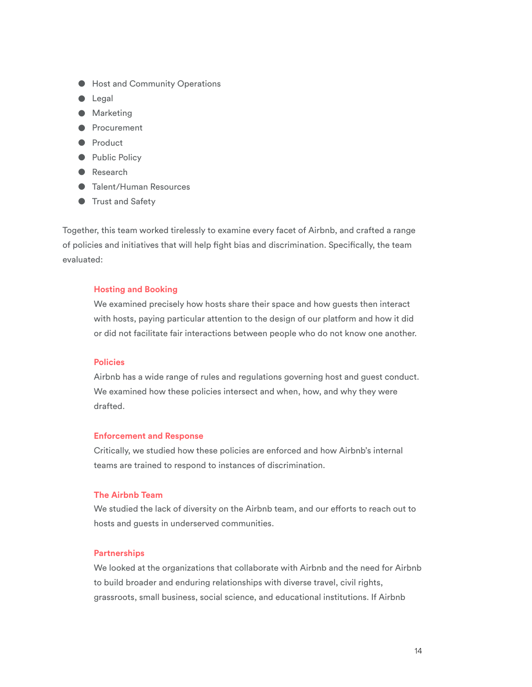- Host and Community Operations
- Legal
- Marketing
- Procurement
- Product
- Public Policy
- Research
- Talent/Human Resources
- Trust and Safety

Together, this team worked tirelessly to examine every facet of Airbnb, and crafted a range of policies and initiatives that will help fght bias and discrimination. Specifcally, the team evaluated:

#### **Hosting and Booking**

We examined precisely how hosts share their space and how guests then interact with hosts, paying particular attention to the design of our platform and how it did or did not facilitate fair interactions between people who do not know one another.

#### **Policies**

Airbnb has a wide range of rules and regulations governing host and guest conduct. We examined how these policies intersect and when, how, and why they were drafted.

#### **Enforcement and Response**

Critically, we studied how these policies are enforced and how Airbnb's internal teams are trained to respond to instances of discrimination.

#### **The Airbnb Team**

We studied the lack of diversity on the Airbnb team, and our efforts to reach out to hosts and guests in underserved communities.

#### **Partnerships**

We looked at the organizations that collaborate with Airbnb and the need for Airbnb to build broader and enduring relationships with diverse travel, civil rights, grassroots, small business, social science, and educational institutions. If Airbnb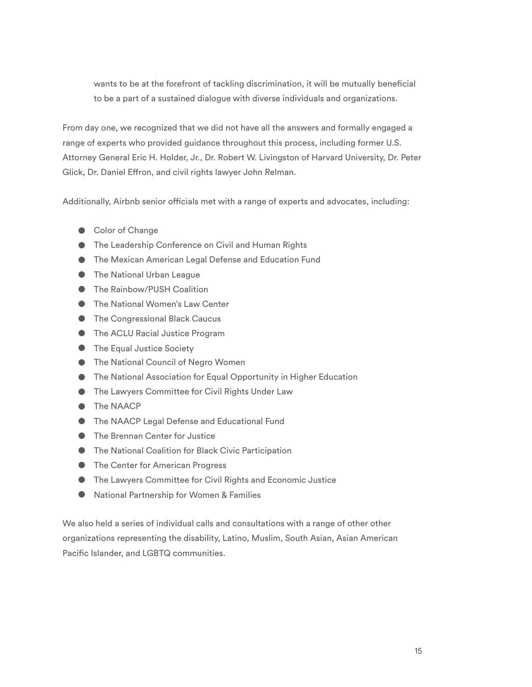wants to be at the forefront of tackling discrimination, it will be mutually beneficial to be a part of a sustained dialogue with diverse individuals and organizations.

From day one, we recognized that we did not have all the answers and formally engaged a range of experts who provided guidance throughout this process, including former U.S. Attorney General Eric H. Holder, Jr., Dr. Robert W. Livingston of Harvard University, Dr. Peter Glick, Dr. Daniel Efron, and civil rights lawyer John Relman.

Additionally, Airbnb senior officials met with a range of experts and advocates, including:

- Color of Change
- The Leadership Conference on Civil and Human Rights
- The Mexican American Legal Defense and Education Fund
- The National Urban League
- The Rainbow/PUSH Coalition
- The National Women's Law Center
- The Congressional Black Caucus
- The ACLU Racial Justice Program
- The Equal Justice Society
- The National Council of Negro Women
- The National Association for Equal Opportunity in Higher Education
- The Lawyers Committee for Civil Rights Under Law
- The NAACP
- The NAACP Legal Defense and Educational Fund
- The Brennan Center for Justice
- The National Coalition for Black Civic Participation
- The Center for American Progress
- The Lawyers Committee for Civil Rights and Economic Justice
- National Partnership for Women & Families

We also held a series of individual calls and consultations with a range of other other organizations representing the disability, Latino, Muslim, South Asian, Asian American Pacific Islander, and LGBTQ communities.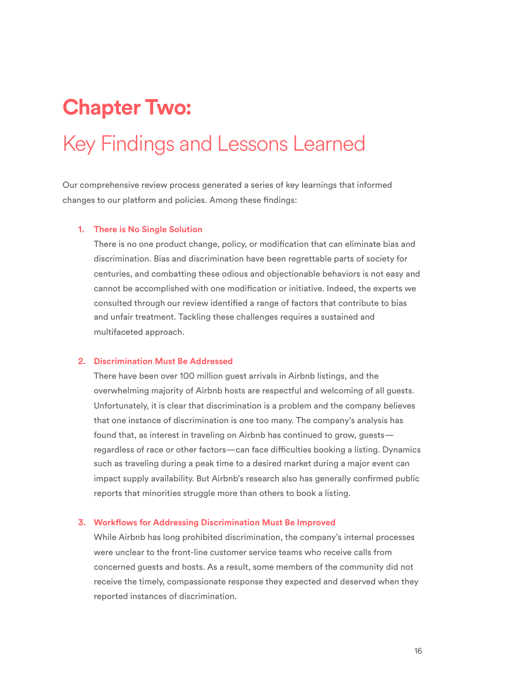### **Chapter Two:**

### Key Findings and Lessons Learned

Our comprehensive review process generated a series of key learnings that informed changes to our platform and policies. Among these fndings:

#### **1. There is No Single Solution**

There is no one product change, policy, or modifcation that can eliminate bias and discrimination. Bias and discrimination have been regrettable parts of society for centuries, and combatting these odious and objectionable behaviors is not easy and cannot be accomplished with one modifcation or initiative. Indeed, the experts we consulted through our review identifed a range of factors that contribute to bias and unfair treatment. Tackling these challenges requires a sustained and multifaceted approach.

#### **2. Discrimination Must Be Addressed**

There have been over 100 million guest arrivals in Airbnb listings, and the overwhelming majority of Airbnb hosts are respectful and welcoming of all guests. Unfortunately, it is clear that discrimination is a problem and the company believes that one instance of discrimination is one too many. The company's analysis has found that, as interest in traveling on Airbnb has continued to grow, guests regardless of race or other factors—can face difficulties booking a listing. Dynamics such as traveling during a peak time to a desired market during a major event can impact supply availability. But Airbnb's research also has generally confrmed public reports that minorities struggle more than others to book a listing.

#### **3. Workfows for Addressing Discrimination Must Be Improved**

While Airbnb has long prohibited discrimination, the company's internal processes were unclear to the front-line customer service teams who receive calls from concerned guests and hosts. As a result, some members of the community did not receive the timely, compassionate response they expected and deserved when they reported instances of discrimination.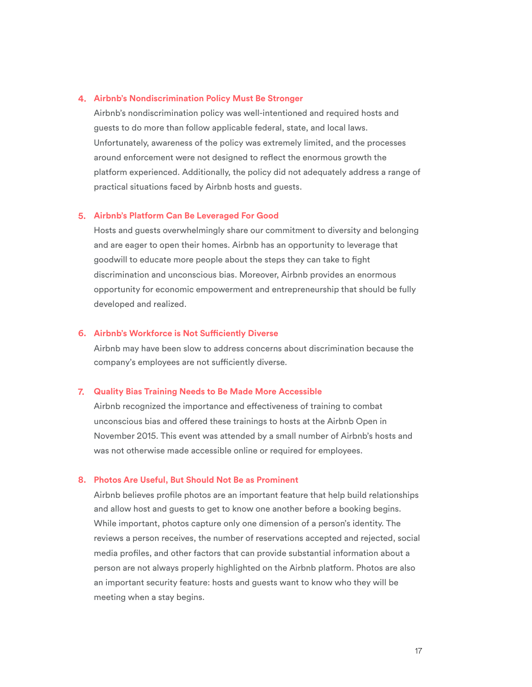#### **4. Airbnb's Nondiscrimination Policy Must Be Stronger**

Airbnb's nondiscrimination policy was well-intentioned and required hosts and guests to do more than follow applicable federal, state, and local laws. Unfortunately, awareness of the policy was extremely limited, and the processes around enforcement were not designed to refect the enormous growth the platform experienced. Additionally, the policy did not adequately address a range of practical situations faced by Airbnb hosts and guests.

#### **5. Airbnb's Platform Can Be Leveraged For Good**

Hosts and guests overwhelmingly share our commitment to diversity and belonging and are eager to open their homes. Airbnb has an opportunity to leverage that goodwill to educate more people about the steps they can take to fight discrimination and unconscious bias. Moreover, Airbnb provides an enormous opportunity for economic empowerment and entrepreneurship that should be fully developed and realized.

#### **6. Airbnb's Workforce is Not Sufciently Diverse**

Airbnb may have been slow to address concerns about discrimination because the company's employees are not sufficiently diverse.

#### **7. Quality Bias Training Needs to Be Made More Accessible**

Airbnb recognized the importance and efectiveness of training to combat unconscious bias and ofered these trainings to hosts at the Airbnb Open in November 2015. This event was attended by a small number of Airbnb's hosts and was not otherwise made accessible online or required for employees.

#### **8. Photos Are Useful, But Should Not Be as Prominent**

Airbnb believes profle photos are an important feature that help build relationships and allow host and guests to get to know one another before a booking begins. While important, photos capture only one dimension of a person's identity. The reviews a person receives, the number of reservations accepted and rejected, social media profles, and other factors that can provide substantial information about a person are not always properly highlighted on the Airbnb platform. Photos are also an important security feature: hosts and guests want to know who they will be meeting when a stay begins.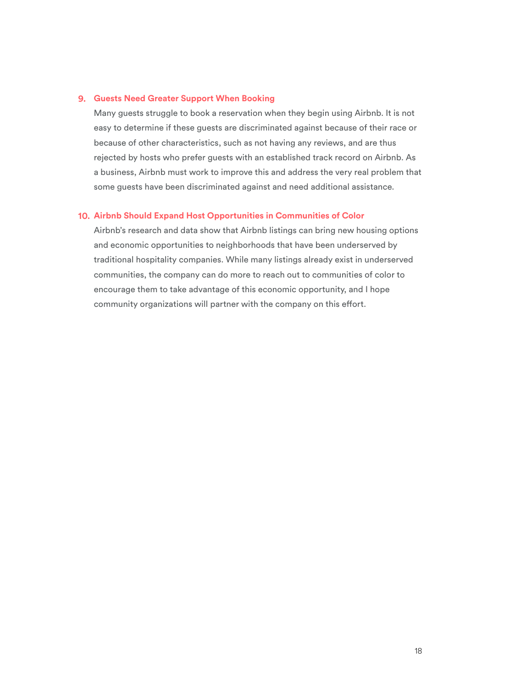#### **9. Guests Need Greater Support When Booking**

Many guests struggle to book a reservation when they begin using Airbnb. It is not easy to determine if these guests are discriminated against because of their race or because of other characteristics, such as not having any reviews, and are thus rejected by hosts who prefer guests with an established track record on Airbnb. As a business, Airbnb must work to improve this and address the very real problem that some guests have been discriminated against and need additional assistance.

#### **10. Airbnb Should Expand Host Opportunities in Communities of Color**

Airbnb's research and data show that Airbnb listings can bring new housing options and economic opportunities to neighborhoods that have been underserved by traditional hospitality companies. While many listings already exist in underserved communities, the company can do more to reach out to communities of color to encourage them to take advantage of this economic opportunity, and I hope community organizations will partner with the company on this effort.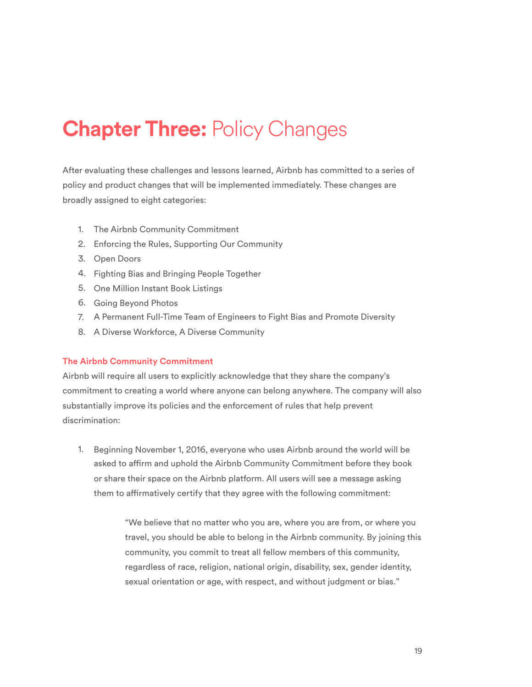## **Chapter Three: Policy Changes**

After evaluating these challenges and lessons learned, Airbnb has committed to a series of policy and product changes that will be implemented immediately. These changes are broadly assigned to eight categories:

- 1. The Airbnb Community Commitment
- 2. Enforcing the Rules, Supporting Our Community
- 3. Open Doors
- 4. Fighting Bias and Bringing People Together
- 5. One Million Instant Book Listings
- 6. Going Beyond Photos
- 7. A Permanent Full-Time Team of Engineers to Fight Bias and Promote Diversity
- 8. A Diverse Workforce, A Diverse Community

#### **The Airbnb Community Commitment**

Airbnb will require all users to explicitly acknowledge that they share the company's commitment to creating a world where anyone can belong anywhere. The company will also substantially improve its policies and the enforcement of rules that help prevent discrimination:

1. Beginning November 1, 2016, everyone who uses Airbnb around the world will be asked to affirm and uphold the Airbnb Community Commitment before they book or share their space on the Airbnb platform. All users will see a message asking them to affirmatively certify that they agree with the following commitment:

> "We believe that no matter who you are, where you are from, or where you travel, you should be able to belong in the Airbnb community. By joining this community, you commit to treat all fellow members of this community, regardless of race, religion, national origin, disability, sex, gender identity, sexual orientation or age, with respect, and without judgment or bias."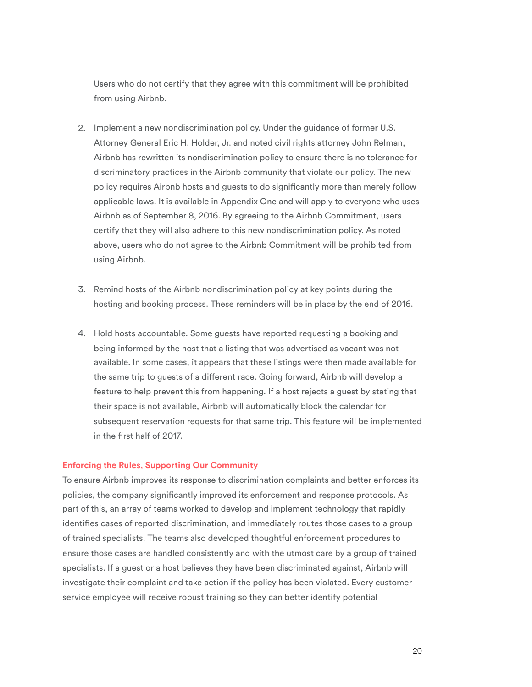Users who do not certify that they agree with this commitment will be prohibited from using Airbnb.

- 2. Implement a new nondiscrimination policy. Under the guidance of former U.S. Attorney General Eric H. Holder, Jr. and noted civil rights attorney John Relman, Airbnb has rewritten its nondiscrimination policy to ensure there is no tolerance for discriminatory practices in the Airbnb community that violate our policy. The new policy requires Airbnb hosts and guests to do signifcantly more than merely follow applicable laws. It is available in Appendix One and will apply to everyone who uses Airbnb as of September 8, 2016. By agreeing to the Airbnb Commitment, users certify that they will also adhere to this new nondiscrimination policy. As noted above, users who do not agree to the Airbnb Commitment will be prohibited from using Airbnb.
- 3. Remind hosts of the Airbnb nondiscrimination policy at key points during the hosting and booking process. These reminders will be in place by the end of 2016.
- 4. Hold hosts accountable. Some guests have reported requesting a booking and being informed by the host that a listing that was advertised as vacant was not available. In some cases, it appears that these listings were then made available for the same trip to guests of a diferent race. Going forward, Airbnb will develop a feature to help prevent this from happening. If a host rejects a guest by stating that their space is not available, Airbnb will automatically block the calendar for subsequent reservation requests for that same trip. This feature will be implemented in the frst half of 2017.

#### **Enforcing the Rules, Supporting Our Community**

To ensure Airbnb improves its response to discrimination complaints and better enforces its policies, the company signifcantly improved its enforcement and response protocols. As part of this, an array of teams worked to develop and implement technology that rapidly identifes cases of reported discrimination, and immediately routes those cases to a group of trained specialists. The teams also developed thoughtful enforcement procedures to ensure those cases are handled consistently and with the utmost care by a group of trained specialists. If a guest or a host believes they have been discriminated against, Airbnb will investigate their complaint and take action if the policy has been violated. Every customer service employee will receive robust training so they can better identify potential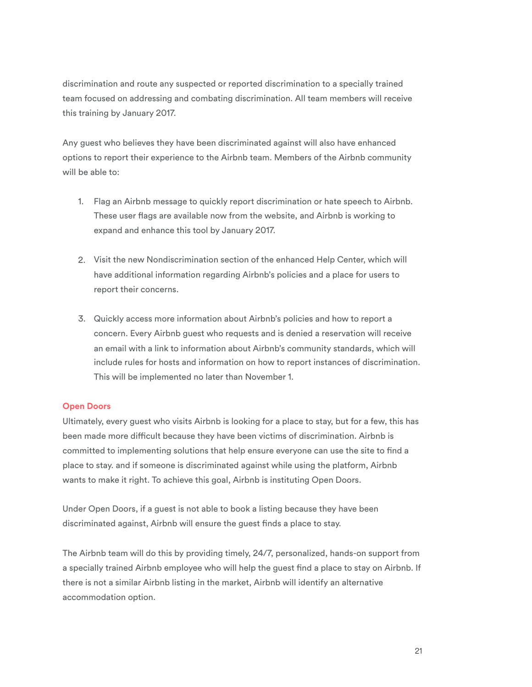discrimination and route any suspected or reported discrimination to a specially trained team focused on addressing and combating discrimination. All team members will receive this training by January 2017.

Any guest who believes they have been discriminated against will also have enhanced options to report their experience to the Airbnb team. Members of the Airbnb community will be able to:

- 1. Flag an Airbnb message to quickly report discrimination or hate speech to Airbnb. These user fags are available now from the website, and Airbnb is working to expand and enhance this tool by January 2017.
- 2. Visit the new Nondiscrimination section of the enhanced Help Center, which will have additional information regarding Airbnb's policies and a place for users to report their concerns.
- 3. Quickly access more information about Airbnb's policies and how to report a concern. Every Airbnb guest who requests and is denied a reservation will receive an email with a link to information about Airbnb's community standards, which will include rules for hosts and information on how to report instances of discrimination. This will be implemented no later than November 1.

#### **Open Doors**

Ultimately, every guest who visits Airbnb is looking for a place to stay, but for a few, this has been made more difficult because they have been victims of discrimination. Airbnb is committed to implementing solutions that help ensure everyone can use the site to fnd a place to stay. and if someone is discriminated against while using the platform, Airbnb wants to make it right. To achieve this goal, Airbnb is instituting Open Doors.

Under Open Doors, if a guest is not able to book a listing because they have been discriminated against, Airbnb will ensure the guest fnds a place to stay.

The Airbnb team will do this by providing timely, 24/7, personalized, hands-on support from a specially trained Airbnb employee who will help the guest fnd a place to stay on Airbnb. If there is not a similar Airbnb listing in the market, Airbnb will identify an alternative accommodation option.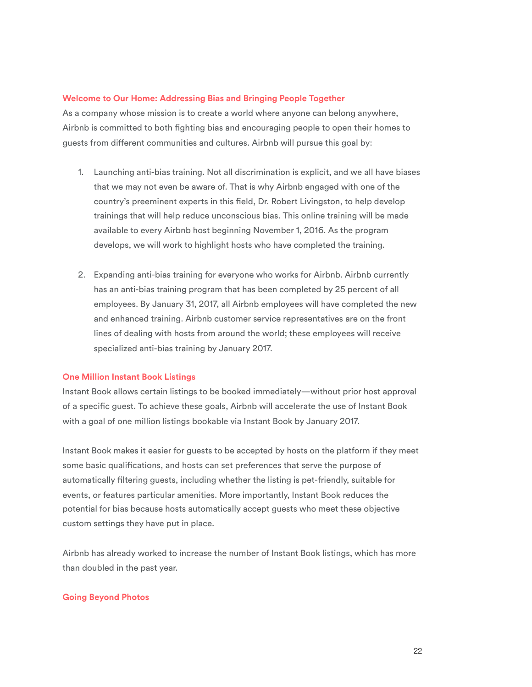#### **Welcome to Our Home: Addressing Bias and Bringing People Together**

As a company whose mission is to create a world where anyone can belong anywhere, Airbnb is committed to both fghting bias and encouraging people to open their homes to guests from diferent communities and cultures. Airbnb will pursue this goal by:

- 1. Launching anti-bias training. Not all discrimination is explicit, and we all have biases that we may not even be aware of. That is why Airbnb engaged with one of the country's preeminent experts in this feld, Dr. Robert Livingston, to help develop trainings that will help reduce unconscious bias. This online training will be made available to every Airbnb host beginning November 1, 2016. As the program develops, we will work to highlight hosts who have completed the training.
- 2. Expanding anti-bias training for everyone who works for Airbnb. Airbnb currently has an anti-bias training program that has been completed by 25 percent of all employees. By January 31, 2017, all Airbnb employees will have completed the new and enhanced training. Airbnb customer service representatives are on the front lines of dealing with hosts from around the world; these employees will receive specialized anti-bias training by January 2017.

#### **One Million Instant Book Listings**

Instant Book allows certain listings to be booked immediately—without prior host approval of a specifc guest. To achieve these goals, Airbnb will accelerate the use of Instant Book with a goal of one million listings bookable via Instant Book by January 2017.

Instant Book makes it easier for guests to be accepted by hosts on the platform if they meet some basic qualifcations, and hosts can set preferences that serve the purpose of automatically fltering guests, including whether the listing is pet-friendly, suitable for events, or features particular amenities. More importantly, Instant Book reduces the potential for bias because hosts automatically accept guests who meet these objective custom settings they have put in place.

Airbnb has already worked to increase the number of Instant Book listings, which has more than doubled in the past year.

#### **Going Beyond Photos**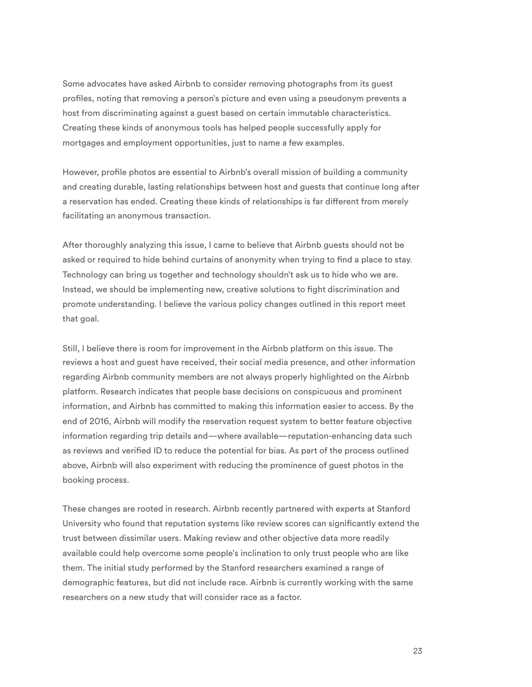Some advocates have asked Airbnb to consider removing photographs from its guest profles, noting that removing a person's picture and even using a pseudonym prevents a host from discriminating against a guest based on certain immutable characteristics. Creating these kinds of anonymous tools has helped people successfully apply for mortgages and employment opportunities, just to name a few examples.

However, profle photos are essential to Airbnb's overall mission of building a community and creating durable, lasting relationships between host and guests that continue long after a reservation has ended. Creating these kinds of relationships is far diferent from merely facilitating an anonymous transaction.

After thoroughly analyzing this issue, I came to believe that Airbnb guests should not be asked or required to hide behind curtains of anonymity when trying to fnd a place to stay. Technology can bring us together and technology shouldn't ask us to hide who we are. Instead, we should be implementing new, creative solutions to fght discrimination and promote understanding. I believe the various policy changes outlined in this report meet that goal.

Still, I believe there is room for improvement in the Airbnb platform on this issue. The reviews a host and guest have received, their social media presence, and other information regarding Airbnb community members are not always properly highlighted on the Airbnb platform. Research indicates that people base decisions on conspicuous and prominent information, and Airbnb has committed to making this information easier to access. By the end of 2016, Airbnb will modify the reservation request system to better feature objective information regarding trip details and—where available—reputation-enhancing data such as reviews and verifed ID to reduce the potential for bias. As part of the process outlined above, Airbnb will also experiment with reducing the prominence of guest photos in the booking process.

These changes are rooted in research. Airbnb recently partnered with experts at Stanford University who found that reputation systems like review scores can signifcantly extend the trust between dissimilar users. Making review and other objective data more readily available could help overcome some people's inclination to only trust people who are like them. The initial study performed by the Stanford researchers examined a range of demographic features, but did not include race. Airbnb is currently working with the same researchers on a new study that will consider race as a factor.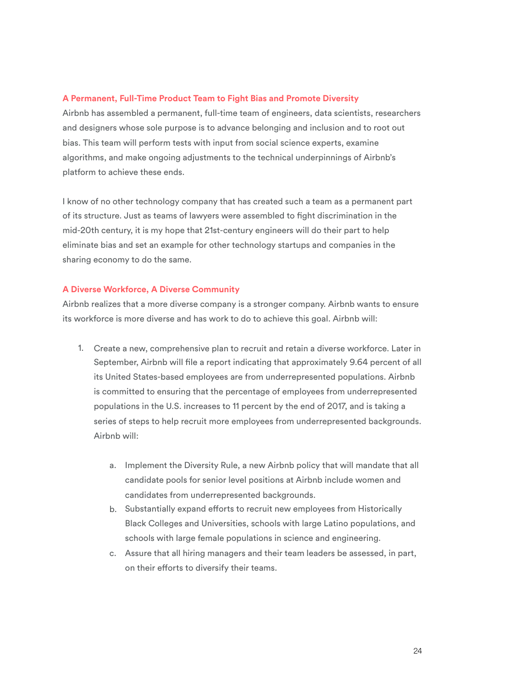#### **A Permanent, Full-Time Product Team to Fight Bias and Promote Diversity**

Airbnb has assembled a permanent, full-time team of engineers, data scientists, researchers and designers whose sole purpose is to advance belonging and inclusion and to root out bias. This team will perform tests with input from social science experts, examine algorithms, and make ongoing adjustments to the technical underpinnings of Airbnb's platform to achieve these ends.

I know of no other technology company that has created such a team as a permanent part of its structure. Just as teams of lawyers were assembled to fght discrimination in the mid-20th century, it is my hope that 21st-century engineers will do their part to help eliminate bias and set an example for other technology startups and companies in the sharing economy to do the same.

#### **A Diverse Workforce, A Diverse Community**

Airbnb realizes that a more diverse company is a stronger company. Airbnb wants to ensure its workforce is more diverse and has work to do to achieve this goal. Airbnb will:

- 1. Create a new, comprehensive plan to recruit and retain a diverse workforce. Later in September, Airbnb will fle a report indicating that approximately 9.64 percent of all its United States-based employees are from underrepresented populations. Airbnb is committed to ensuring that the percentage of employees from underrepresented populations in the U.S. increases to 11 percent by the end of 2017, and is taking a series of steps to help recruit more employees from underrepresented backgrounds. Airbnb will:
	- a. Implement the Diversity Rule, a new Airbnb policy that will mandate that all candidate pools for senior level positions at Airbnb include women and candidates from underrepresented backgrounds.
	- b. Substantially expand efforts to recruit new employees from Historically Black Colleges and Universities, schools with large Latino populations, and schools with large female populations in science and engineering.
	- c. Assure that all hiring managers and their team leaders be assessed, in part, on their eforts to diversify their teams.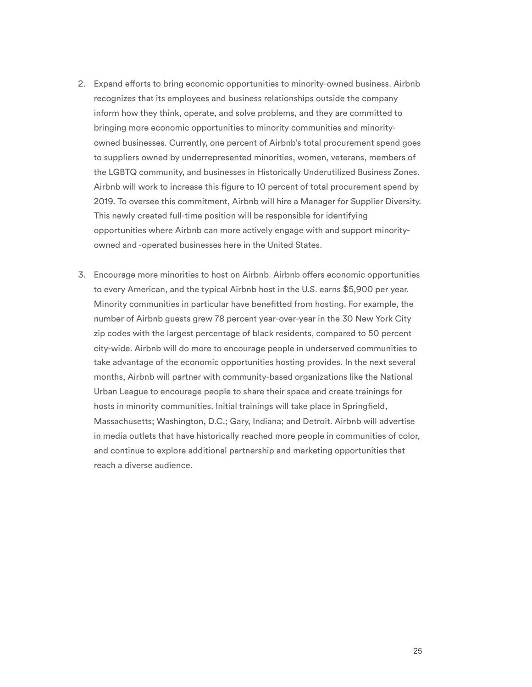- 2. Expand eforts to bring economic opportunities to minority-owned business. Airbnb recognizes that its employees and business relationships outside the company inform how they think, operate, and solve problems, and they are committed to bringing more economic opportunities to minority communities and minorityowned businesses. Currently, one percent of Airbnb's total procurement spend goes to suppliers owned by underrepresented minorities, women, veterans, members of the LGBTQ community, and businesses in Historically Underutilized Business Zones. Airbnb will work to increase this fgure to 10 percent of total procurement spend by 2019. To oversee this commitment, Airbnb will hire a Manager for Supplier Diversity. This newly created full-time position will be responsible for identifying opportunities where Airbnb can more actively engage with and support minorityowned and -operated businesses here in the United States.
- 3. Encourage more minorities to host on Airbnb. Airbnb ofers economic opportunities to every American, and the typical Airbnb host in the U.S. earns \$5,900 per year. Minority communities in particular have beneftted from hosting. For example, the number of Airbnb guests grew 78 percent year-over-year in the 30 New York City zip codes with the largest percentage of black residents, compared to 50 percent city-wide. Airbnb will do more to encourage people in underserved communities to take advantage of the economic opportunities hosting provides. In the next several months, Airbnb will partner with community-based organizations like the National Urban League to encourage people to share their space and create trainings for hosts in minority communities. Initial trainings will take place in Springfeld, Massachusetts; Washington, D.C.; Gary, Indiana; and Detroit. Airbnb will advertise in media outlets that have historically reached more people in communities of color, and continue to explore additional partnership and marketing opportunities that reach a diverse audience.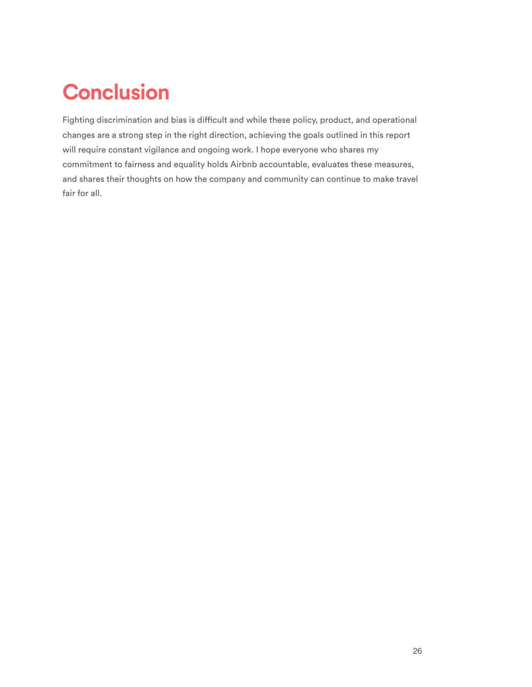# **Conclusion**

Fighting discrimination and bias is difficult and while these policy, product, and operational changes are a strong step in the right direction, achieving the goals outlined in this report will require constant vigilance and ongoing work. I hope everyone who shares my commitment to fairness and equality holds Airbnb accountable, evaluates these measures, and shares their thoughts on how the company and community can continue to make travel fair for all.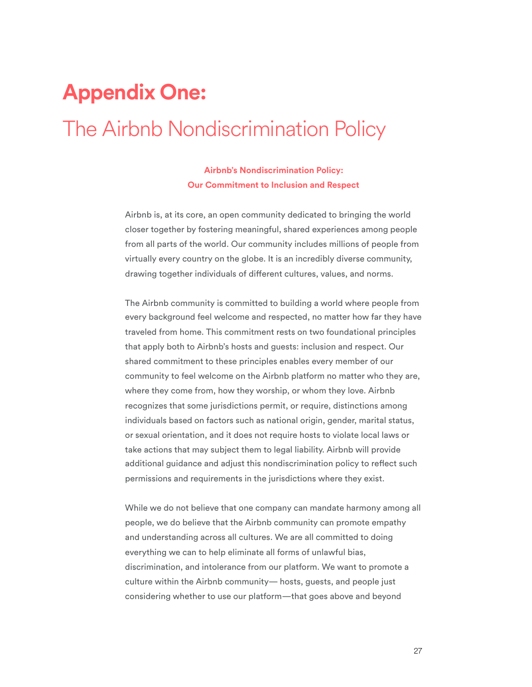# **Appendix One:**  The Airbnb Nondiscrimination Policy

### **Airbnb's Nondiscrimination Policy: Our Commitment to Inclusion and Respect**

Airbnb is, at its core, an open community dedicated to bringing the world closer together by fostering meaningful, shared experiences among people from all parts of the world. Our community includes millions of people from virtually every country on the globe. It is an incredibly diverse community, drawing together individuals of diferent cultures, values, and norms.

The Airbnb community is committed to building a world where people from every background feel welcome and respected, no matter how far they have traveled from home. This commitment rests on two foundational principles that apply both to Airbnb's hosts and guests: inclusion and respect. Our shared commitment to these principles enables every member of our community to feel welcome on the Airbnb platform no matter who they are, where they come from, how they worship, or whom they love. Airbnb recognizes that some jurisdictions permit, or require, distinctions among individuals based on factors such as national origin, gender, marital status, or sexual orientation, and it does not require hosts to violate local laws or take actions that may subject them to legal liability. Airbnb will provide additional guidance and adjust this nondiscrimination policy to refect such permissions and requirements in the jurisdictions where they exist.

While we do not believe that one company can mandate harmony among all people, we do believe that the Airbnb community can promote empathy and understanding across all cultures. We are all committed to doing everything we can to help eliminate all forms of unlawful bias, discrimination, and intolerance from our platform. We want to promote a culture within the Airbnb community— hosts, guests, and people just considering whether to use our platform—that goes above and beyond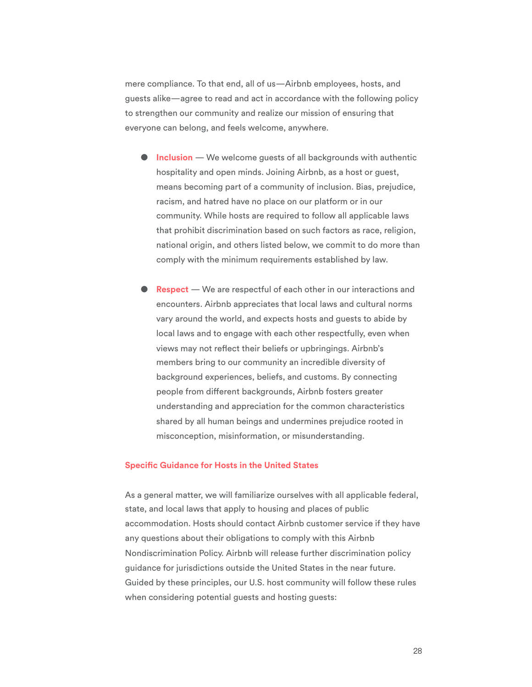mere compliance. To that end, all of us—Airbnb employees, hosts, and guests alike—agree to read and act in accordance with the following policy to strengthen our community and realize our mission of ensuring that everyone can belong, and feels welcome, anywhere.

- **Inclusion** We welcome guests of all backgrounds with authentic hospitality and open minds. Joining Airbnb, as a host or guest, means becoming part of a community of inclusion. Bias, prejudice, racism, and hatred have no place on our platform or in our community. While hosts are required to follow all applicable laws that prohibit discrimination based on such factors as race, religion, national origin, and others listed below, we commit to do more than comply with the minimum requirements established by law.
- **Respect** We are respectful of each other in our interactions and encounters. Airbnb appreciates that local laws and cultural norms vary around the world, and expects hosts and guests to abide by local laws and to engage with each other respectfully, even when views may not refect their beliefs or upbringings. Airbnb's members bring to our community an incredible diversity of background experiences, beliefs, and customs. By connecting people from diferent backgrounds, Airbnb fosters greater understanding and appreciation for the common characteristics shared by all human beings and undermines prejudice rooted in misconception, misinformation, or misunderstanding.

#### **Specifc Guidance for Hosts in the United States**

As a general matter, we will familiarize ourselves with all applicable federal, state, and local laws that apply to housing and places of public accommodation. Hosts should contact Airbnb customer service if they have any questions about their obligations to comply with this Airbnb Nondiscrimination Policy. Airbnb will release further discrimination policy guidance for jurisdictions outside the United States in the near future. Guided by these principles, our U.S. host community will follow these rules when considering potential guests and hosting guests: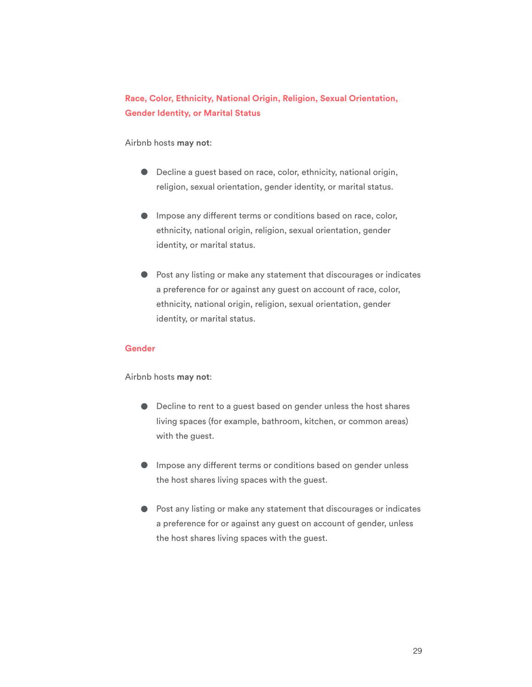### **Race, Color, Ethnicity, National Origin, Religion, Sexual Orientation, Gender Identity, or Marital Status**

#### Airbnb hosts **may not**:

- Decline a guest based on race, color, ethnicity, national origin, religion, sexual orientation, gender identity, or marital status.
- Impose any diferent terms or conditions based on race, color, ethnicity, national origin, religion, sexual orientation, gender identity, or marital status.
- Post any listing or make any statement that discourages or indicates a preference for or against any guest on account of race, color, ethnicity, national origin, religion, sexual orientation, gender identity, or marital status.

#### **Gender**

Airbnb hosts **may not**:

- Decline to rent to a guest based on gender unless the host shares living spaces (for example, bathroom, kitchen, or common areas) with the guest.
- Impose any diferent terms or conditions based on gender unless the host shares living spaces with the guest.
- Post any listing or make any statement that discourages or indicates a preference for or against any guest on account of gender, unless the host shares living spaces with the guest.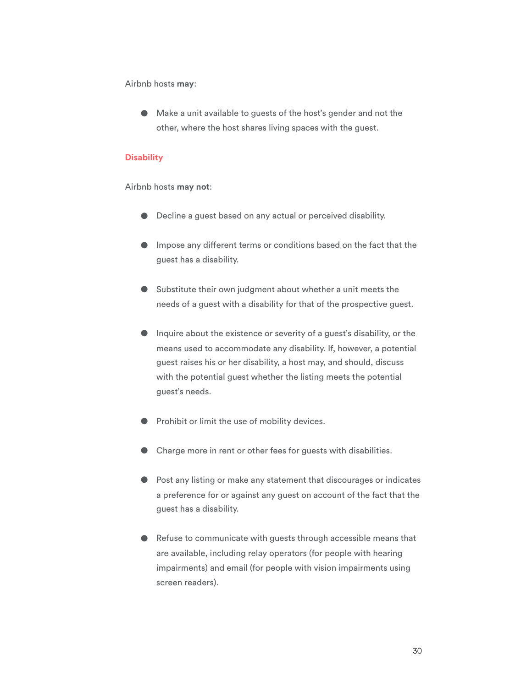Airbnb hosts **may**:

● Make a unit available to guests of the host's gender and not the other, where the host shares living spaces with the guest.

#### **Disability**

Airbnb hosts **may not**:

- Decline a guest based on any actual or perceived disability.
- Impose any diferent terms or conditions based on the fact that the guest has a disability.
- Substitute their own judgment about whether a unit meets the needs of a guest with a disability for that of the prospective guest.
- Inquire about the existence or severity of a guest's disability, or the means used to accommodate any disability. If, however, a potential guest raises his or her disability, a host may, and should, discuss with the potential guest whether the listing meets the potential guest's needs.
- Prohibit or limit the use of mobility devices.
- Charge more in rent or other fees for guests with disabilities.
- Post any listing or make any statement that discourages or indicates a preference for or against any guest on account of the fact that the guest has a disability.
- Refuse to communicate with guests through accessible means that are available, including relay operators (for people with hearing impairments) and email (for people with vision impairments using screen readers).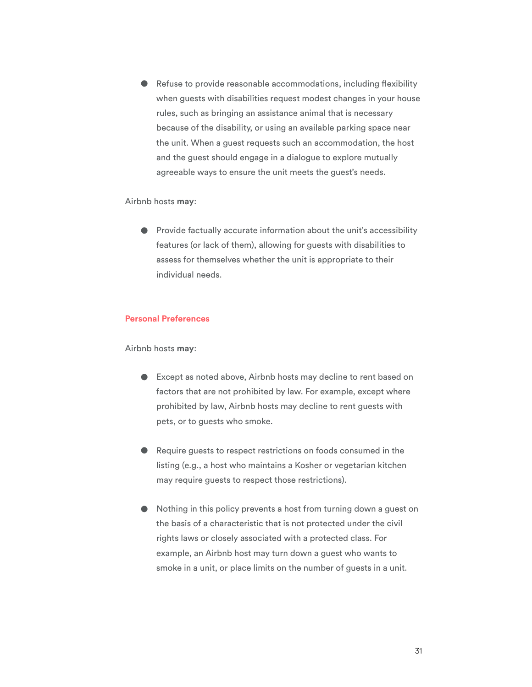● Refuse to provide reasonable accommodations, including flexibility when guests with disabilities request modest changes in your house rules, such as bringing an assistance animal that is necessary because of the disability, or using an available parking space near the unit. When a guest requests such an accommodation, the host and the guest should engage in a dialogue to explore mutually agreeable ways to ensure the unit meets the guest's needs.

Airbnb hosts **may**:

● Provide factually accurate information about the unit's accessibility features (or lack of them), allowing for guests with disabilities to assess for themselves whether the unit is appropriate to their individual needs.

#### **Personal Preferences**

Airbnb hosts **may**:

- Except as noted above, Airbnb hosts may decline to rent based on factors that are not prohibited by law. For example, except where prohibited by law, Airbnb hosts may decline to rent guests with pets, or to guests who smoke.
- Require guests to respect restrictions on foods consumed in the listing (e.g., a host who maintains a Kosher or vegetarian kitchen may require guests to respect those restrictions).
- Nothing in this policy prevents a host from turning down a guest on the basis of a characteristic that is not protected under the civil rights laws or closely associated with a protected class. For example, an Airbnb host may turn down a guest who wants to smoke in a unit, or place limits on the number of guests in a unit.